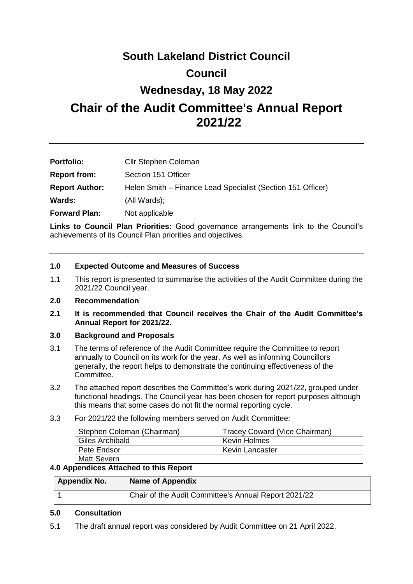# **South Lakeland District Council Council**

# **Wednesday, 18 May 2022**

# **Chair of the Audit Committee's Annual Report 2021/22**

| <b>Portfolio:</b>     | <b>Cllr Stephen Coleman</b>                                 |
|-----------------------|-------------------------------------------------------------|
| <b>Report from:</b>   | Section 151 Officer                                         |
| <b>Report Author:</b> | Helen Smith - Finance Lead Specialist (Section 151 Officer) |
| Wards:                | (All Wards);                                                |
| <b>Forward Plan:</b>  | Not applicable                                              |

**Links to Council Plan Priorities:** Good governance arrangements link to the Council's achievements of its Council Plan priorities and objectives.

# **1.0 Expected Outcome and Measures of Success**

1.1 This report is presented to summarise the activities of the Audit Committee during the 2021/22 Council year.

# **2.0 Recommendation**

**2.1 It is recommended that Council receives the Chair of the Audit Committee's Annual Report for 2021/22.**

# **3.0 Background and Proposals**

- 3.1 The terms of reference of the Audit Committee require the Committee to report annually to Council on its work for the year. As well as informing Councillors generally, the report helps to demonstrate the continuing effectiveness of the Committee.
- 3.2 The attached report describes the Committee's work during 2021/22, grouped under functional headings. The Council year has been chosen for report purposes although this means that some cases do not fit the normal reporting cycle.
- 3.3 For 2021/22 the following members served on Audit Committee:

| Stephen Coleman (Chairman) | Tracey Coward (Vice Chairman) |
|----------------------------|-------------------------------|
| Giles Archibald            | Kevin Holmes                  |
| Pete Endsor                | Kevin Lancaster               |
| Matt Severn                |                               |

# **4.0 Appendices Attached to this Report**

| <b>Appendix No.</b> | <b>Name of Appendix</b>                              |
|---------------------|------------------------------------------------------|
|                     | Chair of the Audit Committee's Annual Report 2021/22 |

# **5.0 Consultation**

5.1 The draft annual report was considered by Audit Committee on 21 April 2022.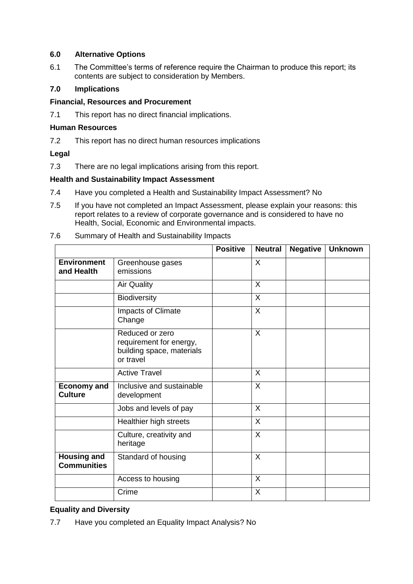# **6.0 Alternative Options**

6.1 The Committee's terms of reference require the Chairman to produce this report; its contents are subject to consideration by Members.

# **7.0 Implications**

# **Financial, Resources and Procurement**

7.1 This report has no direct financial implications.

# **Human Resources**

7.2 This report has no direct human resources implications

# **Legal**

7.3 There are no legal implications arising from this report.

#### **Health and Sustainability Impact Assessment**

- 7.4 Have you completed a Health and Sustainability Impact Assessment? No
- 7.5 If you have not completed an Impact Assessment, please explain your reasons: this report relates to a review of corporate governance and is considered to have no Health, Social, Economic and Environmental impacts.

|                                          |                                                                                      | <b>Positive</b> | <b>Neutral</b> | <b>Negative</b> | <b>Unknown</b> |
|------------------------------------------|--------------------------------------------------------------------------------------|-----------------|----------------|-----------------|----------------|
| <b>Environment</b><br>and Health         | Greenhouse gases<br>emissions                                                        |                 | $\sf X$        |                 |                |
|                                          | <b>Air Quality</b>                                                                   |                 | $\sf X$        |                 |                |
|                                          | Biodiversity                                                                         |                 | $\sf X$        |                 |                |
|                                          | Impacts of Climate<br>Change                                                         |                 | $\sf X$        |                 |                |
|                                          | Reduced or zero<br>requirement for energy,<br>building space, materials<br>or travel |                 | $\sf X$        |                 |                |
|                                          | <b>Active Travel</b>                                                                 |                 | X              |                 |                |
| <b>Economy and</b><br><b>Culture</b>     | Inclusive and sustainable<br>development                                             |                 | $\sf X$        |                 |                |
|                                          | Jobs and levels of pay                                                               |                 | $\sf X$        |                 |                |
|                                          | Healthier high streets                                                               |                 | $\sf X$        |                 |                |
|                                          | Culture, creativity and<br>heritage                                                  |                 | $\sf X$        |                 |                |
| <b>Housing and</b><br><b>Communities</b> | Standard of housing                                                                  |                 | $\sf X$        |                 |                |
|                                          | Access to housing                                                                    |                 | $\sf X$        |                 |                |
|                                          | Crime                                                                                |                 | X              |                 |                |

7.6 Summary of Health and Sustainability Impacts

# **Equality and Diversity**

7.7 Have you completed an Equality Impact Analysis? No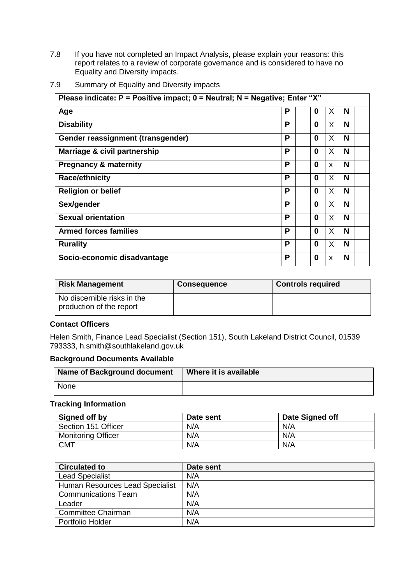7.8 If you have not completed an Impact Analysis, please explain your reasons: this report relates to a review of corporate governance and is considered to have no Equality and Diversity impacts.

| Please indicate: $P =$ Positive impact; $0 =$ Neutral; N = Negative; Enter "X" |   |          |    |   |
|--------------------------------------------------------------------------------|---|----------|----|---|
| Age                                                                            | Р | 0        | X  | N |
| <b>Disability</b>                                                              | Р | $\Omega$ | X  | N |
| Gender reassignment (transgender)                                              | P | 0        | X  | N |
| Marriage & civil partnership                                                   | Р | 0        | X  | N |
| <b>Pregnancy &amp; maternity</b>                                               | Р | 0        | X  | N |
| <b>Race/ethnicity</b>                                                          | P | 0        | X  | N |
| <b>Religion or belief</b>                                                      | P | 0        | X  | N |
| Sex/gender                                                                     | Р | 0        | X. | N |
| <b>Sexual orientation</b>                                                      | P | 0        | X  | N |
| <b>Armed forces families</b>                                                   | Р | 0        | X  | N |
| <b>Rurality</b>                                                                | Р | 0        | X  | N |
| Socio-economic disadvantage                                                    | P | 0        | X  | N |

7.9 Summary of Equality and Diversity impacts

| <b>Risk Management</b>                                  | <b>Consequence</b> | <b>Controls required</b> |
|---------------------------------------------------------|--------------------|--------------------------|
| No discernible risks in the<br>production of the report |                    |                          |

# **Contact Officers**

Helen Smith, Finance Lead Specialist (Section 151), South Lakeland District Council, 01539 793333, h.smith@southlakeland.gov.uk

#### **Background Documents Available**

| <b>Name of Background document</b> | Where it is available |
|------------------------------------|-----------------------|
| None                               |                       |

#### **Tracking Information**

| Signed off by             | Date sent | Date Signed off |
|---------------------------|-----------|-----------------|
| Section 151 Officer       | N/A       | N/A             |
| <b>Monitoring Officer</b> | N/A       | N/A             |
| <b>CMT</b>                | N/A       | N/A             |

| <b>Circulated to</b>            | Date sent |
|---------------------------------|-----------|
| <b>Lead Specialist</b>          | N/A       |
| Human Resources Lead Specialist | N/A       |
| <b>Communications Team</b>      | N/A       |
| Leader                          | N/A       |
| <b>Committee Chairman</b>       | N/A       |
| Portfolio Holder                | N/A       |